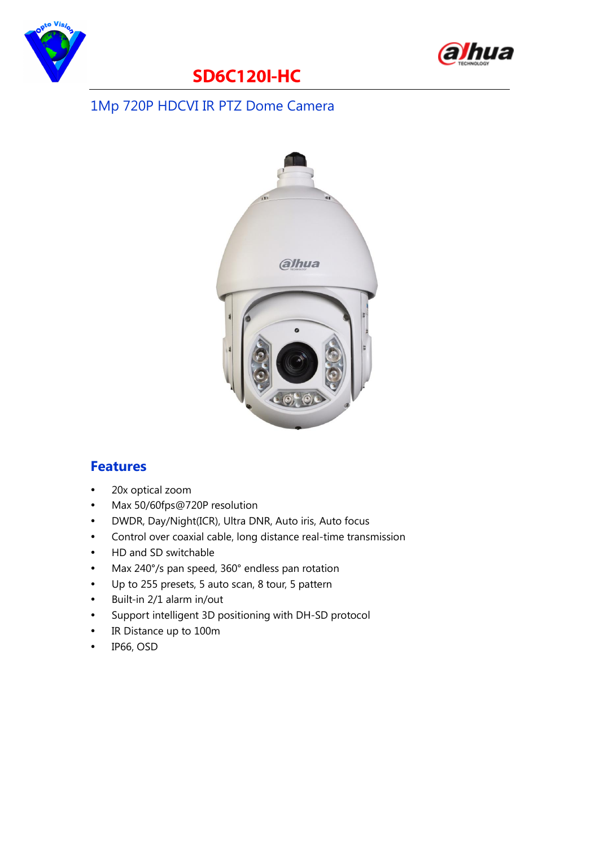



## **SD6C120I-HC**

#### 1Mp 720P HDCVI IR PTZ Dome Camera



#### **Features**

- 20x optical zoom
- Max 50/60fps@720P resolution
- DWDR, Day/Night(ICR), Ultra DNR, Auto iris, Auto focus
- Control over coaxial cable, long distance real-time transmission
- HD and SD switchable
- Max 240°/s pan speed, 360° endless pan rotation
- Up to 255 presets, 5 auto scan, 8 tour, 5 pattern
- Built-in 2/1 alarm in/out
- Support intelligent 3D positioning with DH-SD protocol
- IR Distance up to 100m
- IP66, OSD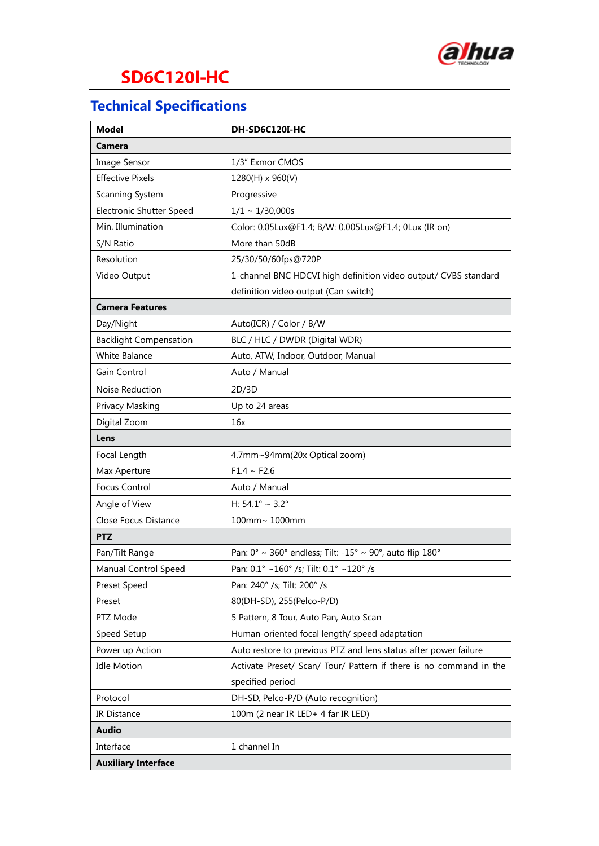

# **SD6C120I-HC**

### **Technical Specifications**

| <b>Model</b>                  | DH-SD6C120I-HC                                                     |
|-------------------------------|--------------------------------------------------------------------|
| Camera                        |                                                                    |
| Image Sensor                  | 1/3" Exmor CMOS                                                    |
| <b>Effective Pixels</b>       | 1280(H) x 960(V)                                                   |
| Scanning System               | Progressive                                                        |
| Electronic Shutter Speed      | $1/1 \sim 1/30,000s$                                               |
| Min. Illumination             | Color: 0.05Lux@F1.4; B/W: 0.005Lux@F1.4; 0Lux (IR on)              |
| S/N Ratio                     | More than 50dB                                                     |
| Resolution                    | 25/30/50/60fps@720P                                                |
| Video Output                  | 1-channel BNC HDCVI high definition video output/ CVBS standard    |
|                               | definition video output (Can switch)                               |
| <b>Camera Features</b>        |                                                                    |
| Day/Night                     | Auto(ICR) / Color / B/W                                            |
| <b>Backlight Compensation</b> | BLC / HLC / DWDR (Digital WDR)                                     |
| White Balance                 | Auto, ATW, Indoor, Outdoor, Manual                                 |
| Gain Control                  | Auto / Manual                                                      |
| Noise Reduction               | 2D/3D                                                              |
| Privacy Masking               | Up to 24 areas                                                     |
| Digital Zoom                  | 16x                                                                |
| Lens                          |                                                                    |
| Focal Length                  | 4.7mm~94mm(20x Optical zoom)                                       |
| Max Aperture                  | $F1.4 \sim F2.6$                                                   |
| Focus Control                 | Auto / Manual                                                      |
| Angle of View                 | H: $54.1^{\circ} \sim 3.2^{\circ}$                                 |
| Close Focus Distance          | 100mm~ 1000mm                                                      |
| <b>PTZ</b>                    |                                                                    |
| Pan/Tilt Range                | Pan: 0° ~ 360° endless; Tilt: -15° ~ 90°, auto flip 180°           |
| Manual Control Speed          | Pan: 0.1° ~160° /s; Tilt: 0.1° ~120° /s                            |
| Preset Speed                  | Pan: 240° /s; Tilt: 200° /s                                        |
| Preset                        | 80(DH-SD), 255(Pelco-P/D)                                          |
| PTZ Mode                      | 5 Pattern, 8 Tour, Auto Pan, Auto Scan                             |
| Speed Setup                   | Human-oriented focal length/ speed adaptation                      |
| Power up Action               | Auto restore to previous PTZ and lens status after power failure   |
| <b>Idle Motion</b>            | Activate Preset/ Scan/ Tour/ Pattern if there is no command in the |
|                               | specified period                                                   |
| Protocol                      | DH-SD, Pelco-P/D (Auto recognition)                                |
| IR Distance                   | 100m (2 near IR LED+ 4 far IR LED)                                 |
| <b>Audio</b>                  |                                                                    |
| Interface                     | 1 channel In                                                       |
| <b>Auxiliary Interface</b>    |                                                                    |